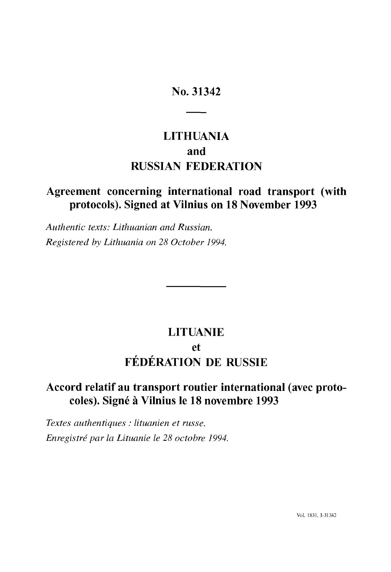# **No. 31342**

# **LITHUANIA and RUSSIAN FEDERATION**

# **Agreement concerning international road transport (with protocols). Signed at Vilnius on 18 November 1993**

*Authentic texts: Lithuanian and Russian. Registered by Lithuania on 28 October 1994.*

# **LITUANIE et FÉDÉRATION DE RUSSIE**

# **Accord relatif au transport routier international (avec proto coles). Signé à Vilnius le 18 novembre 1993**

*Textes authentiques : lituanien et russe. Enregistré par la Lituanie le 28 octobre 1994.*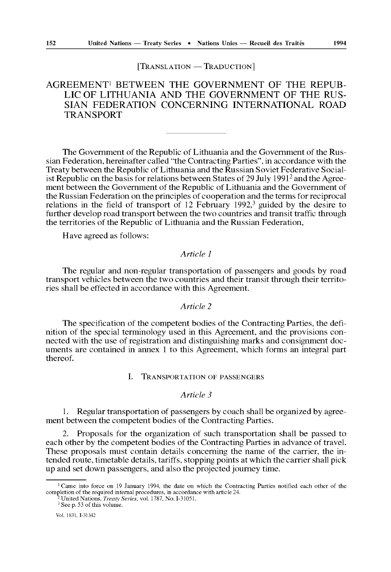#### [TRANSLATION — TRADUCTION]

# AGREEMENT1 BETWEEN THE GOVERNMENT OF THE REPUB LIC OF LITHUANIA AND THE GOVERNMENT OF THE RUS SIAN FEDERATION CONCERNING INTERNATIONAL ROAD TRANSPORT

The Government of the Republic of Lithuania and the Government of the Rus sian Federation, hereinafter called "the Contracting Parties", in accordance with the Treaty between the Republic of Lithuania and the Russian Soviet Federative Social ist Republic on the basis for relations between States of 29 July 1991<sup>2</sup> and the Agreement between the Government of the Republic of Lithuania and the Government of the Russian Federation on the principles of cooperation and the terms for reciprocal relations in the field of transport of 12 February  $1992$ ,<sup>3</sup> guided by the desire to further develop road transport between the two countries and transit traffic through the territories of the Republic of Lithuania and the Russian Federation,

Have agreed as follows:

#### *Article 1*

The regular and non-regular transportation of passengers and goods by road transport vehicles between the two countries and their transit through their territo ries shall be effected in accordance with this Agreement.

#### *Article 2*

The specification of the competent bodies of the Contracting Parties, the defi nition of the special terminology used in this Agreement, and the provisions con nected with the use of registration and distinguishing marks and consignment doc uments are contained in annex 1 to this Agreement, which forms an integral part thereof.

# I. TRANSPORTATION OF PASSENGERS

# *Article 3*

1. Regular transportation of passengers by coach shall be organized by agree ment between the competent bodies of the Contracting Parties.

2. Proposals for the organization of such transportation shall be passed to each other by the competent bodies of the Contracting Parties in advance of travel. These proposals must contain details concerning the name of the carrier, the in tended route, timetable details, tariffs, stopping points at which the carrier shall pick up and set down passengers, and also the projected journey time.

<sup>&</sup>lt;sup>1</sup> Came into force on 19 January 1994, the date on which the Contracting Parties notified each other of the completion of the required internal procedures, in accordance with article 24. 2 United Nations, *Treaty Series,* vol. 1787, No. 1-31051.

<sup>3</sup> See p. 53 of this volume.

Vol. 1831, L31342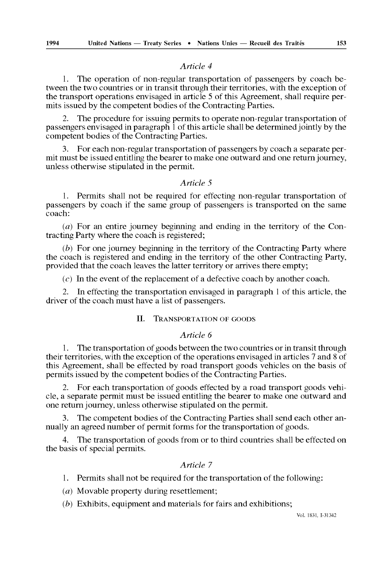1. The operation of non-regular transportation of passengers by coach be tween the two countries or in transit through their territories, with the exception of the transport operations envisaged in article 5 of this Agreement, shall require per mits issued by the competent bodies of the Contracting Parties.

2. The procedure for issuing permits to operate non-regular transportation of passengers envisaged in paragraph 1 of this article shall be determined jointly by the competent bodies of the Contracting Parties.

3. For each non-regular transportation of passengers by coach a separate per mit must be issued entitling the bearer to make one outward and one return journey, unless otherwise stipulated in the permit.

#### *Article 5*

1. Permits shall not be required for effecting non-regular transportation of passengers by coach if the same group of passengers is transported on the same coach:

*(a)* For an entire journey beginning and ending in the territory of the Con tracting Party where the coach is registered;

*(b)* For one journey beginning in the territory of the Contracting Party where the coach is registered and ending in the territory of the other Contracting Party, provided that the coach leaves the latter territory or arrives there empty;

*(c)* In the event of the replacement of a defective coach by another coach.

2. In effecting the transportation envisaged in paragraph 1 of this article, the driver of the coach must have a list of passengers.

#### II. TRANSPORTATION OF GOODS

# *Article 6*

1. The transportation of goods between the two countries or in transit through their territories, with the exception of the operations envisaged in articles 7 and 8 of this Agreement, shall be effected by road transport goods vehicles on the basis of permits issued by the competent bodies of the Contracting Parties.

2. For each transportation of goods effected by a road transport goods vehi cle, a separate permit must be issued entitling the bearer to make one outward and one return journey, unless otherwise stipulated on the permit.

The competent bodies of the Contracting Parties shall send each other annually an agreed number of permit forms for the transportation of goods.

The transportation of goods from or to third countries shall be effected on the basis of special permits.

# *Article 7*

1. Permits shall not be required for the transportation of the following:

*(a)* Movable property during resettlement;

*(b)* Exhibits, equipment and materials for fairs and exhibitions;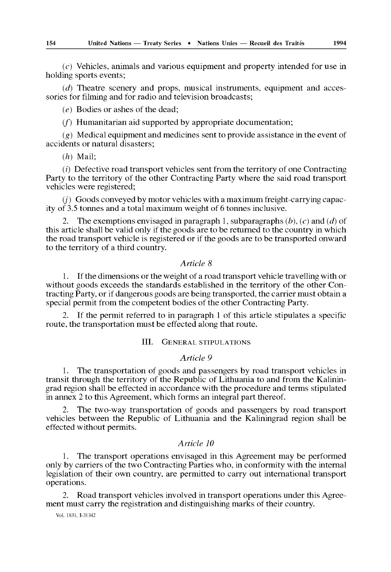*(c)* Vehicles, animals and various equipment and property intended for use in holding sports events;

*(d)* Theatre scenery and props, musical instruments, equipment and acces sories for filming and for radio and television broadcasts;

*(e)* Bodies or ashes of the dead;

 $(f)$  Humanitarian aid supported by appropriate documentation;

*(g)* Medical equipment and medicines sent to provide assistance in the event of accidents or natural disasters;

*(h)* Mail;

*(i)* Defective road transport vehicles sent from the territory of one Contracting Party to the territory of the other Contracting Party where the said road transport vehicles were registered;

 $(i)$  Goods conveyed by motor vehicles with a maximum freight-carrying capacity of 3.5 tonnes and a total maximum weight of 6 tonnes inclusive.

2. The exemptions envisaged in paragraph 1, subparagraphs *(b), (c)* and *(d)* of this article shall be valid only if the goods are to be returned to the country in which the road transport vehicle is registered or if the goods are to be transported onward to the territory of a third country.

# *Article 8*

1. If the dimensions or the weight of a road transport vehicle travelling with or without goods exceeds the standards established in the territory of the other Con tracting Party, or if dangerous goods are being transported, the carrier must obtain a special permit from the competent bodies of the other Contracting Party.

2. If the permit referred to in paragraph 1 of this article stipulates a specific route, the transportation must be effected along that route.

# III. GENERAL STIPULATIONS

# *Article 9*

1. The transportation of goods and passengers by road transport vehicles in transit through the territory of the Republic of Lithuania to and from the Kalinin grad region shall be effected in accordance with the procedure and terms stipulated in annex 2 to this Agreement, which forms an integral part thereof.

2. The two-way transportation of goods and passengers by road transport vehicles between the Republic of Lithuania and the Kaliningrad region shall be effected without permits.

# *Article 10*

1. The transport operations envisaged in this Agreement may be performed only by carriers of the two Contracting Parties who, in conformity with the internal legislation of their own country, are permitted to carry out international transport operations.

2. Road transport vehicles involved in transport operations under this Agree ment must carry the registration and distinguishing marks of their country.

Vol. 1831, 1-31342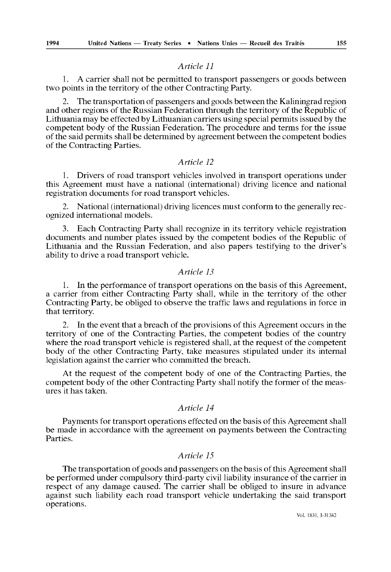1. A carrier shall not be permitted to transport passengers or goods between two points in the territory of the other Contracting Party.

2. The transportation of passengers and goods between the Kaliningrad region and other regions of the Russian Federation through the territory of the Republic of Lithuania may be effected by Lithuanian carriers using special permits issued by the competent body of the Russian Federation. The procedure and terms for the issue of the said permits shall be determined by agreement between the competent bodies of the Contracting Parties.

# *Article 12*

1. Drivers of road transport vehicles involved in transport operations under this Agreement must have a national (international) driving licence and national registration documents for road transport vehicles.

2. National (international) driving licences must conform to the generally rec ognized international models.

3. Each Contracting Party shall recognize in its territory vehicle registration documents and number plates issued by the competent bodies of the Republic of Lithuania and the Russian Federation, and also papers testifying to the driver's ability to drive a road transport vehicle.

### *Article 13*

1. In the performance of transport operations on the basis of this Agreement, a carrier from either Contracting Party shall, while in the territory of the other Contracting Party, be obliged to observe the traffic laws and regulations in force in that territory.

2. In the event that a breach of the provisions of this Agreement occurs in the territory of one of the Contracting Parties, the competent bodies of the country where the road transport vehicle is registered shall, at the request of the competent body of the other Contracting Party, take measures stipulated under its internal legislation against the carrier who committed the breach.

At the request of the competent body of one of the Contracting Parties, the competent body of the other Contracting Party shall notify the former of the meas ures it has taken.

# *Article 14*

Payments for transport operations effected on the basis of this Agreement shall be made in accordance with the agreement on payments between the Contracting Parties.

#### *Article 15*

The transportation of goods and passengers on the basis of this Agreement shall be performed under compulsory third-party civil liability insurance of the carrier in respect of any damage caused. The carrier shall be obliged to insure in advance against such liability each road transport vehicle undertaking the said transport operations.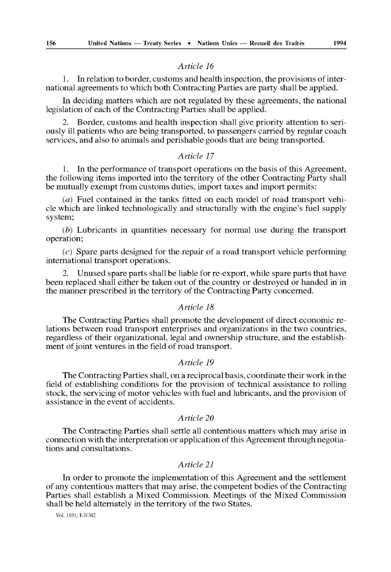1. In relation to border, customs and health inspection, the provisions of international agreements to which both Contracting Parties are party shall be applied.

In deciding matters which are not regulated by these agreements, the national legislation of each of the Contracting Parties shall be applied.

2. Border, customs and health inspection shall give priority attention to seri ously ill patients who are being transported, to passengers carried by regular coach services, and also to animals and perishable goods that are being transported.

# *Article 17*

1. In the performance of transport operations on the basis of this Agreement, the following items imported into the territory of the other Contracting Party shall be mutually exempt from customs duties, import taxes and import permits:

*(a)* Fuel contained in the tanks fitted on each model of road transport vehi cle which are linked technologically and structurally with the engine's fuel supply system;

*(b)* Lubricants in quantities necessary for normal use during the transport operation;

*(c)* Spare parts designed for the repair of a road transport vehicle performing international transport operations.

2. Unused spare parts shall be liable for re-export, while spare parts that have been replaced shall either be taken out of the country or destroyed or handed in in the manner prescribed in the territory of the Contracting Party concerned.

# *Article 18*

The Contracting Parties shall promote the development of direct economic re lations between road transport enterprises and organizations in the two countries, regardless of their organizational, legal and ownership structure, and the establish ment of joint ventures in the field of road transport.

#### *Article 19*

The Contracting Parties shall, on a reciprocal basis, coordinate their work in the field of establishing conditions for the provision of technical assistance to rolling stock, the servicing of motor vehicles with fuel and lubricants, and the provision of assistance in the event of accidents.

# *Article 20*

The Contracting Parties shall settle all contentious matters which may arise in connection with the interpretation or application of this Agreement through negotia tions and consultations.

# *Article 21*

In order to promote the implementation of this Agreement and the settlement of any contentious matters that may arise, the competent bodies of the Contracting Parties shall establish a Mixed Commission. Meetings of the Mixed Commission shall be held alternately in the territory of the two States.

Vol. 1831, 1-31342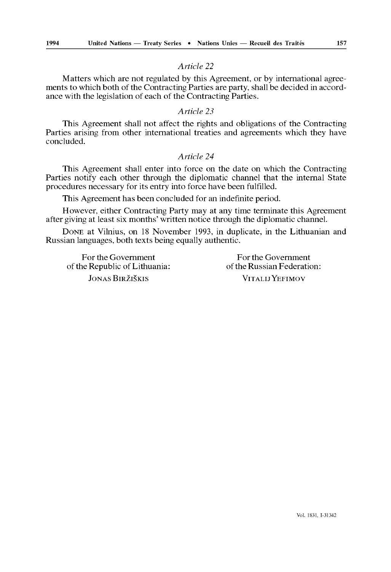Matters which are not regulated by this Agreement, or by international agree ments to which both of the Contracting Parties are party, shall be decided in accord ance with the legislation of each of the Contracting Parties.

# *Article 23*

This Agreement shall not affect the rights and obligations of the Contracting Parties arising from other international treaties and agreements which they have concluded.

# *Article 24*

This Agreement shall enter into force on the date on which the Contracting Parties notify each other through the diplomatic channel that the internal State procedures necessary for its entry into force have been fulfilled.

This Agreement has been concluded for an indefinite period.

However, either Contracting Party may at any time terminate this Agreement after giving at least six months' written notice through the diplomatic channel.

DONE at Vilnius, on 18 November 1993, in duplicate, in the Lithuanian and Russian languages, both texts being equally authentic.

of the Republic of Lithuania: JONAS BIRZISKIS VITALIJ YEFIMOV

For the Government<br>
reflection:<br>
For the Government<br>
of the Russian Federation: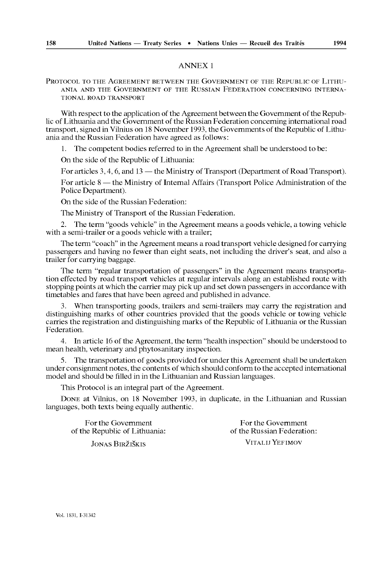# ANNEX 1

PROTOCOL TO THE AGREEMENT BETWEEN THE GOVERNMENT OF THE REPUBLIC OF LITHU ANIA AND THE GOVERNMENT OF THE RUSSIAN FEDERATION CONCERNING INTERNA TIONAL ROAD TRANSPORT

With respect to the application of the Agreement between the Government of the Repub lic of Lithuania and the Government of the Russian Federation concerning international road transport, signed in Vilnius on 18 November 1993, the Governments of the Republic of Lithu ania and the Russian Federation have agreed as follows:

1. The competent bodies referred to in the Agreement shall be understood to be:

On the side of the Republic of Lithuania:

For articles  $3, 4, 6$ , and  $13$  — the Ministry of Transport (Department of Road Transport).

For article 8 — the Ministry of Internal Affairs (Transport Police Administration of the Police Department).

On the side of the Russian Federation:

The Ministry of Transport of the Russian Federation.

2. The term "goods vehicle" in the Agreement means a goods vehicle, a towing vehicle with a semi-trailer or a goods vehicle with a trailer;

The term "coach" in the Agreement means a road transport vehicle designed for carrying passengers and having no fewer than eight seats, not including the driver's seat, and also a trailer for carrying baggage.

The term "regular transportation of passengers" in the Agreement means transporta tion effected by road transport vehicles at regular intervals along an established route with stopping points at which the carrier may pick up and set down passengers in accordance with timetables and fares that have been agreed and published in advance.

3. When transporting goods, trailers and semi-trailers may carry the registration and distinguishing marks of other countries provided that the goods vehicle or towing vehicle carries the registration and distinguishing marks of the Republic of Lithuania or the Russian Federation.

4. In article 16 of the Agreement, the term "health inspection" should be understood to mean health, veterinary and phytosanitary inspection.

5. The transportation of goods provided for under this Agreement shall be undertaken under consignment notes, the contents of which should conform to the accepted international model and should be filled in in the Lithuanian and Russian languages.

This Protocol is an integral part of the Agreement.

DONE at Vilnius, on 18 November 1993, in duplicate, in the Lithuanian and Russian languages, both texts being equally authentic.

For the Government<br>
For the Government<br>
For the Government<br>
of the Russian Federation: of the Republic of Lithuania: JONAS BlRZISKIS VlTALUYEFIMOV